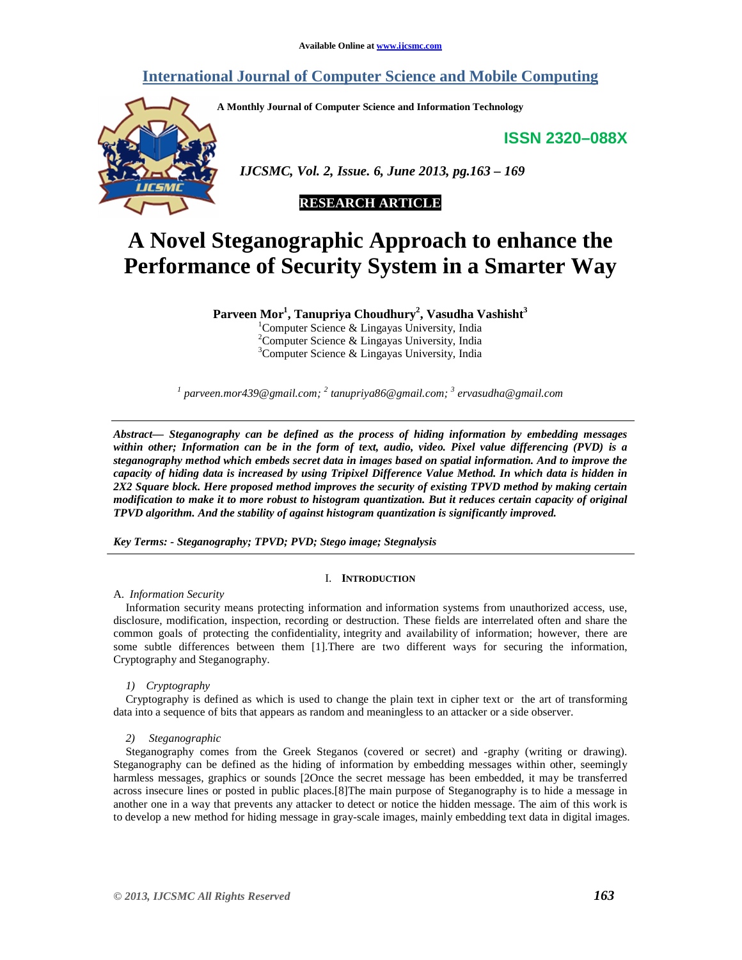# **International Journal of Computer Science and Mobile Computing**

**A Monthly Journal of Computer Science and Information Technology** 

**ISSN 2320–088X**



 *IJCSMC, Vol. 2, Issue. 6, June 2013, pg.163 – 169* 

# **RESEARCH ARTICLE**

# **A Novel Steganographic Approach to enhance the Performance of Security System in a Smarter Way**

**Parveen Mor<sup>1</sup> , Tanupriya Choudhury<sup>2</sup> , Vasudha Vashisht<sup>3</sup>**

<sup>1</sup>Computer Science & Lingayas University, India  ${}^{2}$ Computer Science & Lingayas University, India  $3$ Computer Science & Lingayas University, India

*1 parveen.mor439@gmail.com; <sup>2</sup> tanupriya86@gmail.com; <sup>3</sup> ervasudha@gmail.com* 

*Abstract— Steganography can be defined as the process of hiding information by embedding messages within other; Information can be in the form of text, audio, video. Pixel value differencing (PVD) is a steganography method which embeds secret data in images based on spatial information. And to improve the capacity of hiding data is increased by using Tripixel Difference Value Method. In which data is hidden in 2X2 Square block. Here proposed method improves the security of existing TPVD method by making certain modification to make it to more robust to histogram quantization. But it reduces certain capacity of original TPVD algorithm. And the stability of against histogram quantization is significantly improved.* 

*Key Terms: - Steganography; TPVD; PVD; Stego image; Stegnalysis* 

# I. **INTRODUCTION**

A. *Information Security* 

Information security means protecting information and information systems from unauthorized access, use, disclosure, modification, inspection, recording or destruction. These fields are interrelated often and share the common goals of protecting the confidentiality, integrity and availability of information; however, there are some subtle differences between them [1].There are two different ways for securing the information, Cryptography and Steganography.

*1) Cryptography* 

Cryptography is defined as which is used to change the plain text in cipher text or the art of transforming data into a sequence of bits that appears as random and meaningless to an attacker or a side observer.

*2) Steganographic* 

Steganography comes from the Greek Steganos (covered or secret) and -graphy (writing or drawing). Steganography can be defined as the hiding of information by embedding messages within other, seemingly harmless messages, graphics or sounds [2Once the secret message has been embedded, it may be transferred across insecure lines or posted in public places.[8]The main purpose of Steganography is to hide a message in another one in a way that prevents any attacker to detect or notice the hidden message. The aim of this work is to develop a new method for hiding message in gray-scale images, mainly embedding text data in digital images.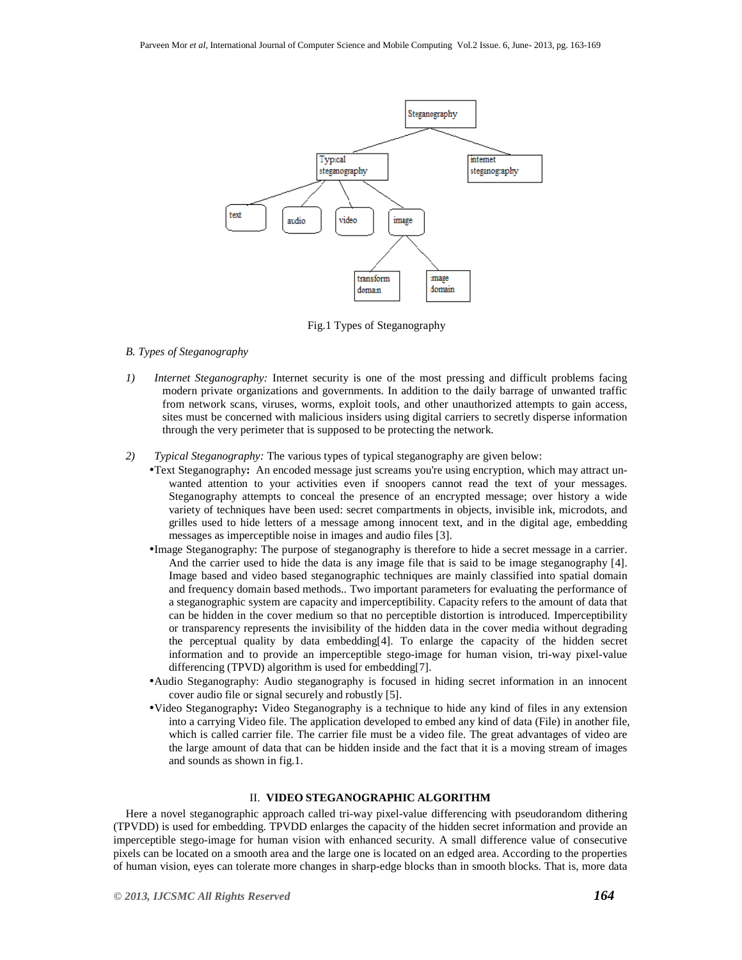

Fig.1 Types of Steganography

# *B. Types of Steganography*

- *1) Internet Steganography:* Internet security is one of the most pressing and difficult problems facing modern private organizations and governments. In addition to the daily barrage of unwanted traffic from network scans, viruses, worms, exploit tools, and other unauthorized attempts to gain access, sites must be concerned with malicious insiders using digital carriers to secretly disperse information through the very perimeter that is supposed to be protecting the network.
- *2) Typical Steganography:* The various types of typical steganography are given below:
	- •Text Steganography**:** An encoded message just screams you're using encryption, which may attract unwanted attention to your activities even if snoopers cannot read the text of your messages. Steganography attempts to conceal the presence of an encrypted message; over history a wide variety of techniques have been used: secret compartments in objects, invisible ink, microdots, and grilles used to hide letters of a message among innocent text, and in the digital age, embedding messages as imperceptible noise in images and audio files [3].
	- •Image Steganography: The purpose of steganography is therefore to hide a secret message in a carrier. And the carrier used to hide the data is any image file that is said to be image steganography [4]. Image based and video based steganographic techniques are mainly classified into spatial domain and frequency domain based methods.. Two important parameters for evaluating the performance of a steganographic system are capacity and imperceptibility. Capacity refers to the amount of data that can be hidden in the cover medium so that no perceptible distortion is introduced. Imperceptibility or transparency represents the invisibility of the hidden data in the cover media without degrading the perceptual quality by data embedding[4]. To enlarge the capacity of the hidden secret information and to provide an imperceptible stego-image for human vision, tri-way pixel-value differencing (TPVD) algorithm is used for embedding[7].
	- •Audio Steganography: Audio steganography is focused in hiding secret information in an innocent cover audio file or signal securely and robustly [5].
	- •Video Steganography**:** Video Steganography is a technique to hide any kind of files in any extension into a carrying Video file. The application developed to embed any kind of data (File) in another file, which is called carrier file. The carrier file must be a video file. The great advantages of video are the large amount of data that can be hidden inside and the fact that it is a moving stream of images and sounds as shown in fig.1.

## II. **VIDEO STEGANOGRAPHIC ALGORITHM**

Here a novel steganographic approach called tri-way pixel-value differencing with pseudorandom dithering (TPVDD) is used for embedding. TPVDD enlarges the capacity of the hidden secret information and provide an imperceptible stego-image for human vision with enhanced security. A small difference value of consecutive pixels can be located on a smooth area and the large one is located on an edged area. According to the properties of human vision, eyes can tolerate more changes in sharp-edge blocks than in smooth blocks. That is, more data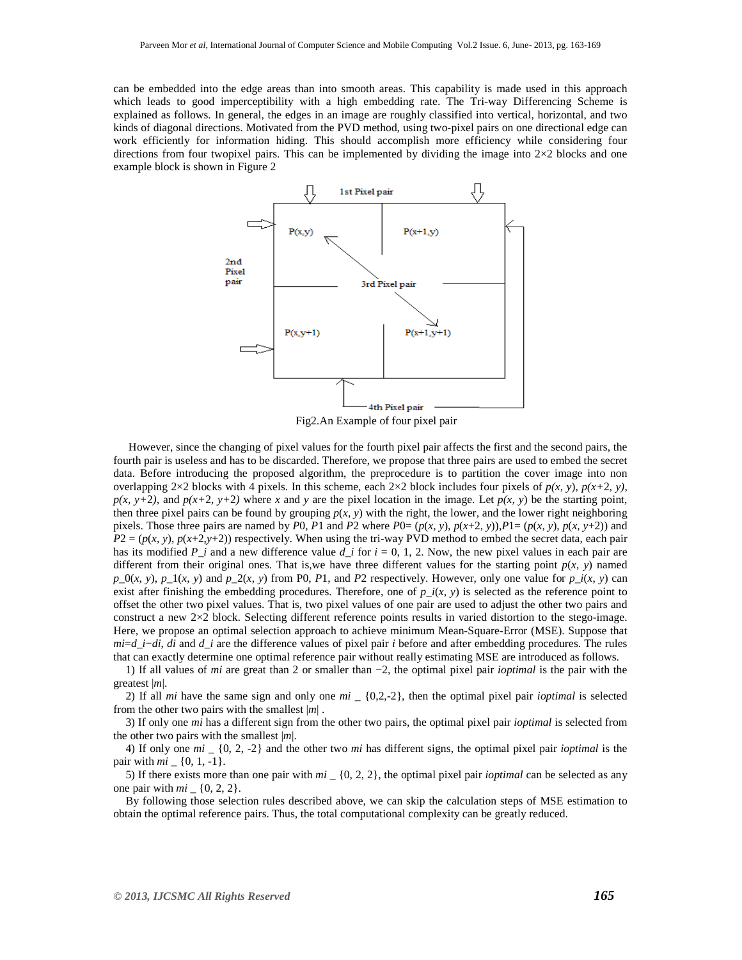can be embedded into the edge areas than into smooth areas. This capability is made used in this approach which leads to good imperceptibility with a high embedding rate. The Tri-way Differencing Scheme is explained as follows. In general, the edges in an image are roughly classified into vertical, horizontal, and two kinds of diagonal directions. Motivated from the PVD method, using two-pixel pairs on one directional edge can work efficiently for information hiding. This should accomplish more efficiency while considering four directions from four twopixel pairs. This can be implemented by dividing the image into  $2\times2$  blocks and one example block is shown in Figure 2



 However, since the changing of pixel values for the fourth pixel pair affects the first and the second pairs, the fourth pair is useless and has to be discarded. Therefore, we propose that three pairs are used to embed the secret data. Before introducing the proposed algorithm, the preprocedure is to partition the cover image into non overlapping 2×2 blocks with 4 pixels. In this scheme, each 2×2 block includes four pixels of  $p(x, y)$ ,  $p(x+2, y)$ ,  $p(x, y+2)$ , and  $p(x+2, y+2)$  where x and y are the pixel location in the image. Let  $p(x, y)$  be the starting point, then three pixel pairs can be found by grouping  $p(x, y)$  with the right, the lower, and the lower right neighboring pixels. Those three pairs are named by P0, P1 and P2 where P0=  $(p(x, y), p(x+2, y)), P1 = (p(x, y), p(x, y+2))$  and  $P2 = (p(x, y), p(x+2, y+2))$  respectively. When using the tri-way PVD method to embed the secret data, each pair has its modified  $P_\perp i$  and a new difference value  $d_\perp i$  for  $i = 0, 1, 2$ . Now, the new pixel values in each pair are different from their original ones. That is, we have three different values for the starting point  $p(x, y)$  named  $p_0(x, y)$ ,  $p_1(x, y)$  and  $p_2(x, y)$  from P0, *P*1, and *P2* respectively. However, only one value for  $p_i(x, y)$  can exist after finishing the embedding procedures. Therefore, one of  $p_i(x, y)$  is selected as the reference point to offset the other two pixel values. That is, two pixel values of one pair are used to adjust the other two pairs and construct a new 2×2 block. Selecting different reference points results in varied distortion to the stego-image. Here, we propose an optimal selection approach to achieve minimum Mean-Square-Error (MSE). Suppose that *mi*=*d*\_*i*−*di*, *di* and *d*\_*i* are the difference values of pixel pair *i* before and after embedding procedures. The rules that can exactly determine one optimal reference pair without really estimating MSE are introduced as follows.

1) If all values of *mi* are great than 2 or smaller than −2, the optimal pixel pair *ioptimal* is the pair with the greatest |*m*|.

2) If all *mi* have the same sign and only one *mi* \_ {0,2,-2}, then the optimal pixel pair *ioptimal* is selected from the other two pairs with the smallest |*m*| .

3) If only one *mi* has a different sign from the other two pairs, the optimal pixel pair *ioptimal* is selected from the other two pairs with the smallest |*m*|.

4) If only one *mi* \_ {0, 2, -2} and the other two *mi* has different signs, the optimal pixel pair *ioptimal* is the pair with *mi* \_ {0, 1, -1}.

5) If there exists more than one pair with *mi* \_ {0, 2, 2}, the optimal pixel pair *ioptimal* can be selected as any one pair with  $mi = \{0, 2, 2\}.$ 

By following those selection rules described above, we can skip the calculation steps of MSE estimation to obtain the optimal reference pairs. Thus, the total computational complexity can be greatly reduced.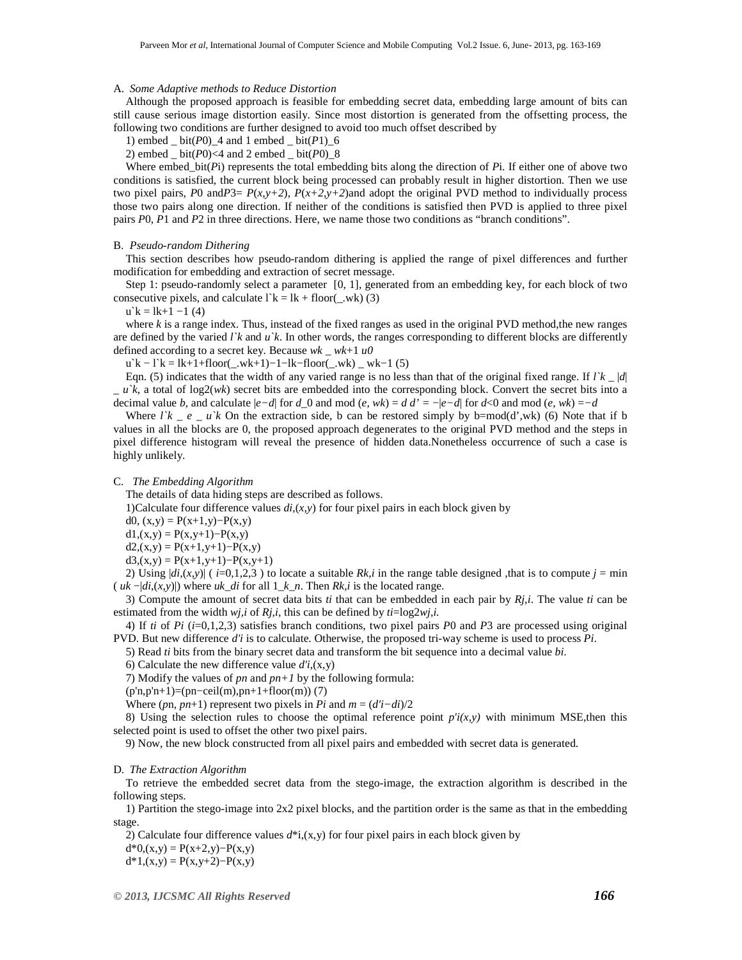#### A. *Some Adaptive methods to Reduce Distortion*

Although the proposed approach is feasible for embedding secret data, embedding large amount of bits can still cause serious image distortion easily. Since most distortion is generated from the offsetting process, the following two conditions are further designed to avoid too much offset described by

1) embed  $\_bit(P0)$  4 and 1 embed  $\_bit(P1)$  6

2) embed  $bit(P0) < 4$  and 2 embed  $bit(P0)$  8

Where embed\_bit(*P*i) represents the total embedding bits along the direction of *P*i. If either one of above two conditions is satisfied, the current block being processed can probably result in higher distortion. Then we use two pixel pairs, *P*0 and*P*3=  $P(x,y+2)$ ,  $P(x+2,y+2)$  and adopt the original PVD method to individually process those two pairs along one direction. If neither of the conditions is satisfied then PVD is applied to three pixel pairs *P*0, *P*1 and *P*2 in three directions. Here, we name those two conditions as "branch conditions".

#### B. *Pseudo-random Dithering*

This section describes how pseudo-random dithering is applied the range of pixel differences and further modification for embedding and extraction of secret message.

Step 1: pseudo-randomly select a parameter [0, 1], generated from an embedding key, for each block of two consecutive pixels, and calculate  $\Gamma k = lk + floor(\ldots wk)$  (3)

 $u$ `k = lk+1 -1 (4)

where *k* is a range index. Thus, instead of the fixed ranges as used in the original PVD method,the new ranges are defined by the varied  $\ell$ <sup>k</sup> and  $\mu$ <sup>k</sup>. In other words, the ranges corresponding to different blocks are differently defined according to a secret key. Because *wk* \_ *wk*+1 *u0* 

 $u'k - l'k = lk+1+floor(...wk+1)-1-lk-floor(...kk)$  \_ wk−1 (5)

Eqn. (5) indicates that the width of any varied range is no less than that of the original fixed range. If  $l'k |d|$ \_ *u`k*, a total of log2(*wk*) secret bits are embedded into the corresponding block. Convert the secret bits into a decimal value *b*, and calculate  $|e-d|$  for *d* 0 and mod  $(e, wk) = d$  *d'* =  $-|e-d|$  for  $d < 0$  and mod  $(e, wk) = -d$ 

Where *l*'k *e u*'k On the extraction side, b can be restored simply by b=mod(d',wk) (6) Note that if b values in all the blocks are 0, the proposed approach degenerates to the original PVD method and the steps in pixel difference histogram will reveal the presence of hidden data.Nonetheless occurrence of such a case is highly unlikely.

C. *The Embedding Algorithm* 

The details of data hiding steps are described as follows.

1)Calculate four difference values  $di(x, y)$  for four pixel pairs in each block given by

d0,  $(x,y) = P(x+1,y) - P(x,y)$ 

 $d1,(x,y) = P(x,y+1)-P(x,y)$ 

 $d2(x,y) = P(x+1,y+1) - P(x,y)$ 

 $d3(x,y) = P(x+1,y+1) - P(x,y+1)$ 

2) Using  $|di(x,y)|$  ( $i=0,1,2,3$ ) to locate a suitable *Rk,i* in the range table designed ,that is to compute  $j = min$ ( *uk* −|*di*,(*x*,*y*)|) where *uk*\_*di* for all 1\_*k*\_*n*. Then *Rk,i* is the located range.

3) Compute the amount of secret data bits *ti* that can be embedded in each pair by *Rj,i*. The value *ti* can be estimated from the width *wj,i* of *Rj,i,* this can be defined by *ti*=log2*wj,i.* 

4) If *ti* of *Pi* (*i*=0,1,2,3) satisfies branch conditions, two pixel pairs *P*0 and *P*3 are processed using original PVD. But new difference *d'i* is to calculate. Otherwise, the proposed tri-way scheme is used to process *Pi*.

5) Read *ti* bits from the binary secret data and transform the bit sequence into a decimal value *bi*.

6) Calculate the new difference value  $d'i$ ,  $(x,y)$ 

7) Modify the values of *pn* and *pn+1* by the following formula:

 $(p'n, p'n+1)=(pn–ceil(m), pn+1+floor(m))$  (7)

Where (*pn*, *pn*+1) represent two pixels in *Pi* and  $m = (d'i - di)/2$ 

8) Using the selection rules to choose the optimal reference point  $p'(x,y)$  with minimum MSE, then this selected point is used to offset the other two pixel pairs.

9) Now, the new block constructed from all pixel pairs and embedded with secret data is generated.

#### D. *The Extraction Algorithm*

To retrieve the embedded secret data from the stego-image, the extraction algorithm is described in the following steps.

1) Partition the stego-image into 2x2 pixel blocks, and the partition order is the same as that in the embedding stage.

2) Calculate four difference values  $d^*i$ ,  $(x,y)$  for four pixel pairs in each block given by  $d*0(x,y) = P(x+2,y) - P(x,y)$  $d*1,(x,y) = P(x,y+2) - P(x,y)$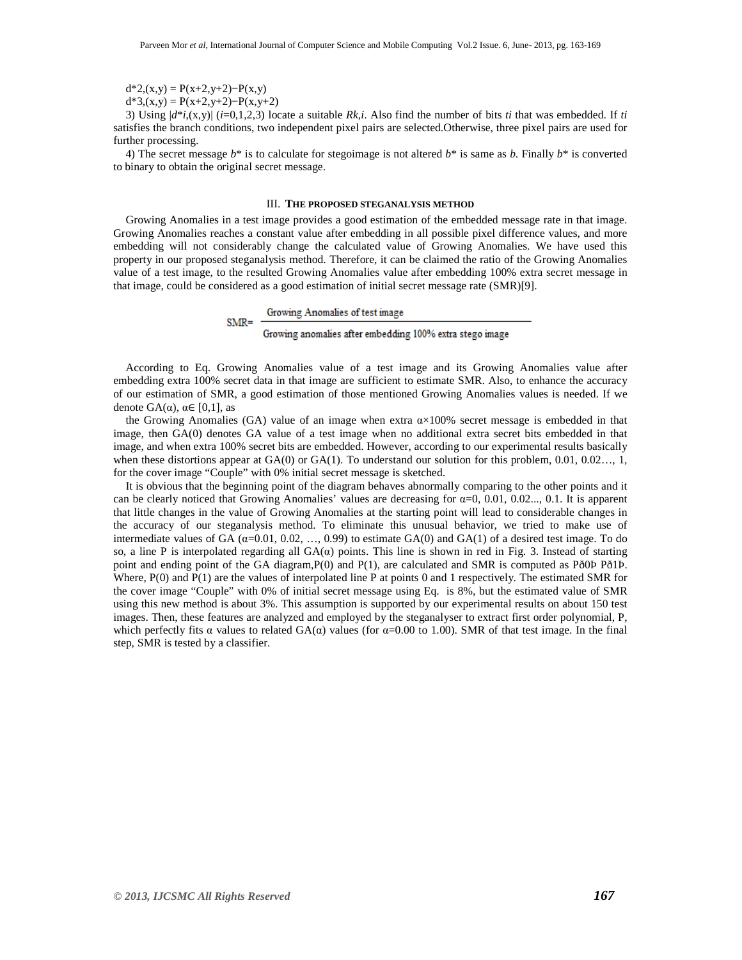$d*2(x,y) = P(x+2,y+2) - P(x,y)$ 

 $d*3(x,y) = P(x+2,y+2) - P(x,y+2)$ 

 $SMR =$ 

3) Using  $|d^*(x,y)|$  (*i*=0,1,2,3) locate a suitable *Rk,i*. Also find the number of bits *ti* that was embedded. If *ti* satisfies the branch conditions, two independent pixel pairs are selected.Otherwise, three pixel pairs are used for further processing.

4) The secret message  $b^*$  is to calculate for stegoimage is not altered  $b^*$  is same as *b*. Finally  $b^*$  is converted to binary to obtain the original secret message.

#### III. **THE PROPOSED STEGANALYSIS METHOD**

Growing Anomalies in a test image provides a good estimation of the embedded message rate in that image. Growing Anomalies reaches a constant value after embedding in all possible pixel difference values, and more embedding will not considerably change the calculated value of Growing Anomalies. We have used this property in our proposed steganalysis method. Therefore, it can be claimed the ratio of the Growing Anomalies value of a test image, to the resulted Growing Anomalies value after embedding 100% extra secret message in that image, could be considered as a good estimation of initial secret message rate (SMR)[9].

#### Growing Anomalies of test image

# Growing anomalies after embedding 100% extra stego image

According to Eq. Growing Anomalies value of a test image and its Growing Anomalies value after embedding extra 100% secret data in that image are sufficient to estimate SMR. Also, to enhance the accuracy of our estimation of SMR, a good estimation of those mentioned Growing Anomalies values is needed. If we denote GA( $\alpha$ ),  $\alpha \in [0,1]$ , as

the Growing Anomalies (GA) value of an image when extra  $\alpha \times 100\%$  secret message is embedded in that image, then GA(0) denotes GA value of a test image when no additional extra secret bits embedded in that image, and when extra 100% secret bits are embedded. However, according to our experimental results basically when these distortions appear at GA(0) or GA(1). To understand our solution for this problem, 0.01, 0.02..., 1, for the cover image "Couple" with 0% initial secret message is sketched.

It is obvious that the beginning point of the diagram behaves abnormally comparing to the other points and it can be clearly noticed that Growing Anomalies' values are decreasing for  $\alpha=0, 0.01, 0.02...$ , 0.1. It is apparent that little changes in the value of Growing Anomalies at the starting point will lead to considerable changes in the accuracy of our steganalysis method. To eliminate this unusual behavior, we tried to make use of intermediate values of GA  $(\alpha=0.01, 0.02, ..., 0.99)$  to estimate GA(0) and GA(1) of a desired test image. To do so, a line P is interpolated regarding all  $GA(\alpha)$  points. This line is shown in red in Fig. 3. Instead of starting point and ending point of the GA diagram,P(0) and P(1), are calculated and SMR is computed as Pð0Þ Pð1Þ. Where, P(0) and P(1) are the values of interpolated line P at points 0 and 1 respectively. The estimated SMR for the cover image "Couple" with 0% of initial secret message using Eq. is 8%, but the estimated value of SMR using this new method is about 3%. This assumption is supported by our experimental results on about 150 test images. Then, these features are analyzed and employed by the steganalyser to extract first order polynomial, P, which perfectly fits  $\alpha$  values to related  $GA(\alpha)$  values (for  $\alpha=0.00$  to 1.00). SMR of that test image. In the final step, SMR is tested by a classifier.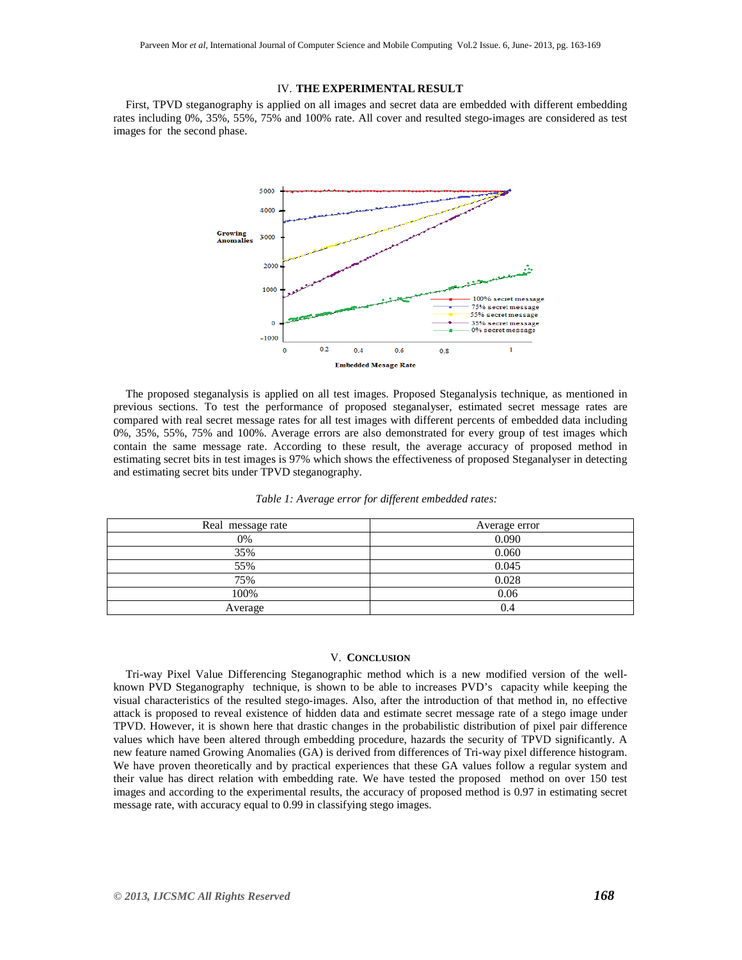## IV. **THE EXPERIMENTAL RESULT**

First, TPVD steganography is applied on all images and secret data are embedded with different embedding rates including 0%, 35%, 55%, 75% and 100% rate. All cover and resulted stego-images are considered as test images for the second phase.



The proposed steganalysis is applied on all test images. Proposed Steganalysis technique, as mentioned in previous sections. To test the performance of proposed steganalyser, estimated secret message rates are compared with real secret message rates for all test images with different percents of embedded data including 0%, 35%, 55%, 75% and 100%. Average errors are also demonstrated for every group of test images which contain the same message rate. According to these result, the average accuracy of proposed method in estimating secret bits in test images is 97% which shows the effectiveness of proposed Steganalyser in detecting and estimating secret bits under TPVD steganography.

| Real message rate | Average error |  |
|-------------------|---------------|--|
| 0%                | 0.090         |  |
| 35%               | 0.060         |  |
| 55%               | 0.045         |  |
| 75%               | 0.028         |  |
| 100%              | 0.06          |  |
| Average           | 0.4           |  |

| Table 1: Average error for different embedded rates: |  |  |
|------------------------------------------------------|--|--|
|------------------------------------------------------|--|--|

# V. **CONCLUSION**

Tri-way Pixel Value Differencing Steganographic method which is a new modified version of the wellknown PVD Steganography technique, is shown to be able to increases PVD's capacity while keeping the visual characteristics of the resulted stego-images. Also, after the introduction of that method in, no effective attack is proposed to reveal existence of hidden data and estimate secret message rate of a stego image under TPVD. However, it is shown here that drastic changes in the probabilistic distribution of pixel pair difference values which have been altered through embedding procedure, hazards the security of TPVD significantly. A new feature named Growing Anomalies (GA) is derived from differences of Tri-way pixel difference histogram. We have proven theoretically and by practical experiences that these GA values follow a regular system and their value has direct relation with embedding rate. We have tested the proposed method on over 150 test images and according to the experimental results, the accuracy of proposed method is 0.97 in estimating secret message rate, with accuracy equal to 0.99 in classifying stego images.